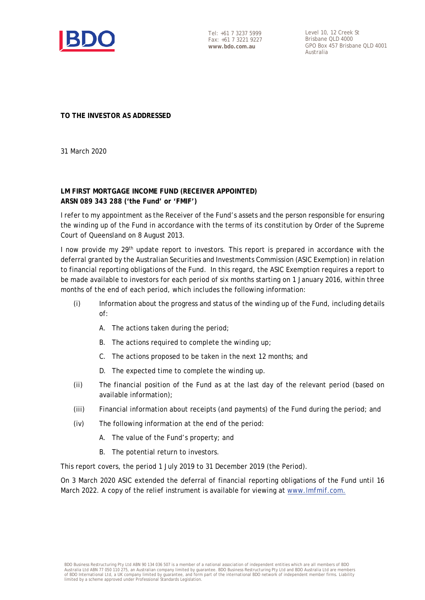

Tel: +61 7 3237 5999 Fax: +61 7 3221 9227 **www.bdo.com.au**

Level 10, 12 Creek St Brisbane QLD 4000 GPO Box 457 Brisbane QLD 4001 Australia

**TO THE INVESTOR AS ADDRESSED** 

31 March 2020

### **LM FIRST MORTGAGE INCOME FUND (RECEIVER APPOINTED) ARSN 089 343 288 ('the Fund' or 'FMIF')**

I refer to my appointment as the Receiver of the Fund's assets and the person responsible for ensuring the winding up of the Fund in accordance with the terms of its constitution by Order of the Supreme Court of Queensland on 8 August 2013.

I now provide my 29<sup>th</sup> update report to investors. This report is prepared in accordance with the deferral granted by the Australian Securities and Investments Commission (ASIC Exemption) in relation to financial reporting obligations of the Fund. In this regard, the ASIC Exemption requires a report to be made available to investors for each period of six months starting on 1 January 2016, within three months of the end of each period, which includes the following information:

- (i) Information about the progress and status of the winding up of the Fund, including details of:
	- A. The actions taken during the period;
	- B. The actions required to complete the winding up:
	- C. The actions proposed to be taken in the next 12 months; and
	- D. The expected time to complete the winding up.
- (ii) The financial position of the Fund as at the last day of the relevant period (based on available information);
- (iii) Financial information about receipts (and payments) of the Fund during the period; and
- (iv) The following information at the end of the period:
	- A. The value of the Fund's property; and
	- B. The potential return to investors.

This report covers, the period 1 July 2019 to 31 December 2019 (the Period).

On 3 March 2020 ASIC extended the deferral of financial reporting obligations of the Fund until 16 March 2022. A copy of the relief instrument is available for viewing at [www.lmfmif.com.](http://www.lmfmif.com/)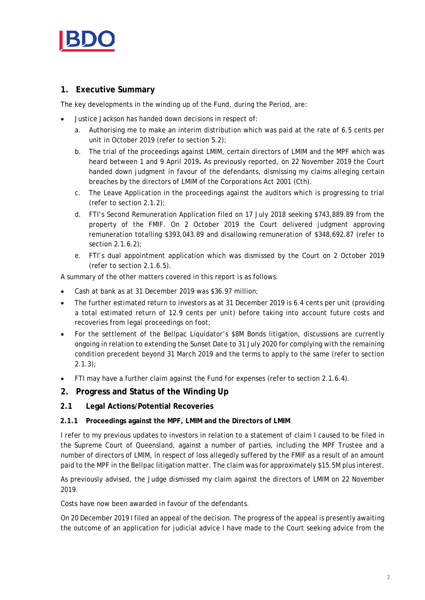

# **1. Executive Summary**

The key developments in the winding up of the Fund, during the Period, are:

- Justice Jackson has handed down decisions in respect of:
	- a. Authorising me to make an interim distribution which was paid at the rate of 6.5 cents per unit in October 2019 (refer to section 5.2);
	- b. The trial of the proceedings against LMIM, certain directors of LMIM and the MPF which was heard between 1 and 9 April 2019**.** As previously reported, on 22 November 2019 the Court handed down judgment in favour of the defendants, dismissing my claims alleging certain breaches by the directors of LMIM of the Corporations Act 2001 (Cth).
	- c. The Leave Application in the proceedings against the auditors which is progressing to trial (refer to section 2.1.2);
	- d. FTI's Second Remuneration Application filed on 17 July 2018 seeking \$743,889.89 from the property of the FMIF. On 2 October 2019 the Court delivered judgment approving remuneration totalling \$393,043.89 and disallowing remuneration of \$348,692.87 (refer to section 2.1.6.2);
	- e. FTI's dual appointment application which was dismissed by the Court on 2 October 2019 (refer to section 2.1.6.5).

A summary of the other matters covered in this report is as follows:

- Cash at bank as at 31 December 2019 was \$36.97 million;
- The further estimated return to investors as at 31 December 2019 is 6.4 cents per unit (providing a total estimated return of 12.9 cents per unit) before taking into account future costs and recoveries from legal proceedings on foot;
- For the settlement of the Bellpac Liquidator's \$8M Bonds litigation, discussions are currently ongoing in relation to extending the Sunset Date to 31 July 2020 for complying with the remaining condition precedent beyond 31 March 2019 and the terms to apply to the same (refer to section 2.1.3);
- FTI may have a further claim against the Fund for expenses (refer to section 2.1.6.4).

### **2. Progress and Status of the Winding Up**

### **2.1 Legal Actions/Potential Recoveries**

#### **2.1.1 Proceedings against the MPF, LMIM and the Directors of LMIM**

I refer to my previous updates to investors in relation to a statement of claim I caused to be filed in the Supreme Court of Queensland, against a number of parties, including the MPF Trustee and a number of directors of LMIM, in respect of loss allegedly suffered by the FMIF as a result of an amount paid to the MPF in the Bellpac litigation matter. The claim was for approximately \$15.5M plus interest.

As previously advised, the Judge dismissed my claim against the directors of LMIM on 22 November 2019.

Costs have now been awarded in favour of the defendants.

On 20 December 2019 I filed an appeal of the decision. The progress of the appeal is presently awaiting the outcome of an application for judicial advice I have made to the Court seeking advice from the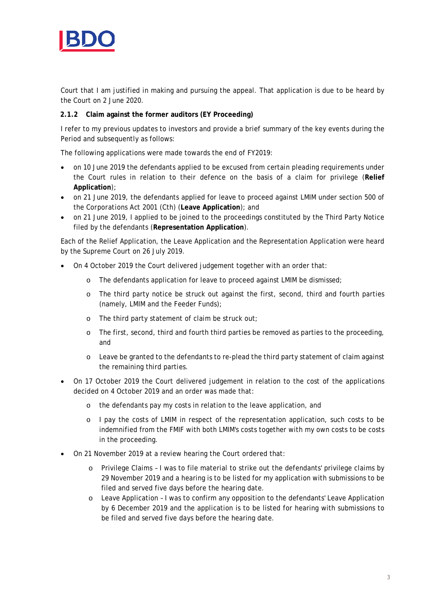

Court that I am justified in making and pursuing the appeal. That application is due to be heard by the Court on 2 June 2020.

### **2.1.2 Claim against the former auditors (EY Proceeding)**

I refer to my previous updates to investors and provide a brief summary of the key events during the Period and subsequently as follows:

The following applications were made towards the end of FY2019:

- on 10 June 2019 the defendants applied to be excused from certain pleading requirements under the Court rules in relation to their defence on the basis of a claim for privilege (**Relief Application**);
- on 21 June 2019, the defendants applied for leave to proceed against LMIM under section 500 of the *Corporations Act 2001* (Cth) (**Leave Application**); and
- on 21 June 2019, I applied to be joined to the proceedings constituted by the Third Party Notice filed by the defendants (**Representation Application**).

Each of the Relief Application, the Leave Application and the Representation Application were heard by the Supreme Court on 26 July 2019.

- On 4 October 2019 the Court delivered judgement together with an order that:
	- o The defendants application for leave to proceed against LMIM be dismissed;
	- o The third party notice be struck out against the first, second, third and fourth parties (namely, LMIM and the Feeder Funds);
	- o The third party statement of claim be struck out;
	- o The first, second, third and fourth third parties be removed as parties to the proceeding, and
	- o Leave be granted to the defendants to re-plead the third party statement of claim against the remaining third parties.
- On 17 October 2019 the Court delivered judgement in relation to the cost of the applications decided on 4 October 2019 and an order was made that:
	- o the defendants pay my costs in relation to the leave application, and
	- o I pay the costs of LMIM in respect of the representation application, such costs to be indemnified from the FMIF with both LMIM's costs together with my own costs to be costs in the proceeding.
- On 21 November 2019 at a review hearing the Court ordered that:
	- o Privilege Claims I was to file material to strike out the defendants' privilege claims by 29 November 2019 and a hearing is to be listed for my application with submissions to be filed and served five days before the hearing date.
	- o Leave Application I was to confirm any opposition to the defendants' Leave Application by 6 December 2019 and the application is to be listed for hearing with submissions to be filed and served five days before the hearing date.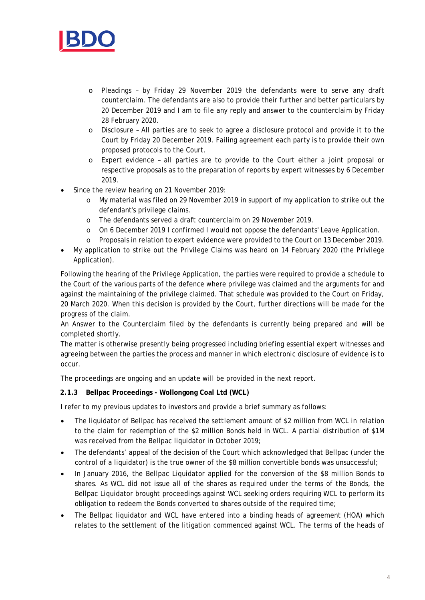

- o Pleadings by Friday 29 November 2019 the defendants were to serve any draft counterclaim. The defendants are also to provide their further and better particulars by 20 December 2019 and I am to file any reply and answer to the counterclaim by Friday 28 February 2020.
- o Disclosure All parties are to seek to agree a disclosure protocol and provide it to the Court by Friday 20 December 2019. Failing agreement each party is to provide their own proposed protocols to the Court.
- o Expert evidence all parties are to provide to the Court either a joint proposal or respective proposals as to the preparation of reports by expert witnesses by 6 December 2019.
- Since the review hearing on 21 November 2019:
	- o My material was filed on 29 November 2019 in support of my application to strike out the defendant's privilege claims.
	- o The defendants served a draft counterclaim on 29 November 2019.
	- o On 6 December 2019 I confirmed I would not oppose the defendants' Leave Application.
	- o Proposals in relation to expert evidence were provided to the Court on 13 December 2019.
- My application to strike out the Privilege Claims was heard on 14 February 2020 (the Privilege Application).

Following the hearing of the Privilege Application, the parties were required to provide a schedule to the Court of the various parts of the defence where privilege was claimed and the arguments for and against the maintaining of the privilege claimed. That schedule was provided to the Court on Friday, 20 March 2020. When this decision is provided by the Court, further directions will be made for the progress of the claim.

An Answer to the Counterclaim filed by the defendants is currently being prepared and will be completed shortly.

The matter is otherwise presently being progressed including briefing essential expert witnesses and agreeing between the parties the process and manner in which electronic disclosure of evidence is to occur.

The proceedings are ongoing and an update will be provided in the next report.

### **2.1.3 Bellpac Proceedings - Wollongong Coal Ltd (WCL)**

I refer to my previous updates to investors and provide a brief summary as follows:

- The liquidator of Bellpac has received the settlement amount of \$2 million from WCL in relation to the claim for redemption of the \$2 million Bonds held in WCL. A partial distribution of \$1M was received from the Bellpac liquidator in October 2019;
- The defendants' appeal of the decision of the Court which acknowledged that Bellpac (under the control of a liquidator) is the true owner of the \$8 million convertible bonds was unsuccessful;
- In January 2016, the Bellpac Liquidator applied for the conversion of the \$8 million Bonds to shares. As WCL did not issue all of the shares as required under the terms of the Bonds, the Bellpac Liquidator brought proceedings against WCL seeking orders requiring WCL to perform its obligation to redeem the Bonds converted to shares outside of the required time;
- The Bellpac liquidator and WCL have entered into a binding heads of agreement (HOA) which relates to the settlement of the litigation commenced against WCL. The terms of the heads of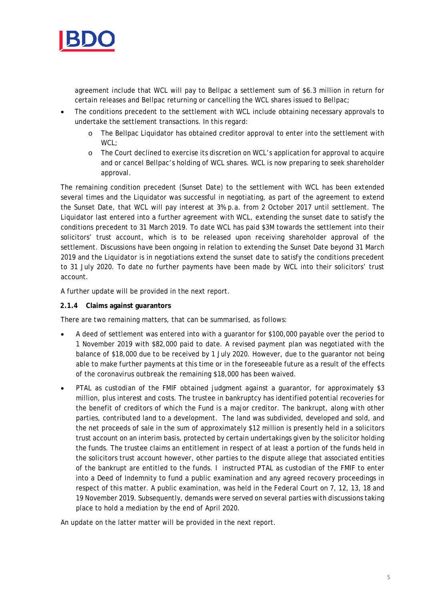

agreement include that WCL will pay to Bellpac a settlement sum of \$6.3 million in return for certain releases and Bellpac returning or cancelling the WCL shares issued to Bellpac;

- The conditions precedent to the settlement with WCL include obtaining necessary approvals to undertake the settlement transactions. In this regard:
	- o The Bellpac Liquidator has obtained creditor approval to enter into the settlement with WCL:
	- o The Court declined to exercise its discretion on WCL's application for approval to acquire and or cancel Bellpac's holding of WCL shares. WCL is now preparing to seek shareholder approval.

The remaining condition precedent (Sunset Date) to the settlement with WCL has been extended several times and the Liquidator was successful in negotiating, as part of the agreement to extend the Sunset Date, that WCL will pay interest at 3% p.a. from 2 October 2017 until settlement. The Liquidator last entered into a further agreement with WCL, extending the sunset date to satisfy the conditions precedent to 31 March 2019. To date WCL has paid \$3M towards the settlement into their solicitors' trust account, which is to be released upon receiving shareholder approval of the settlement. Discussions have been ongoing in relation to extending the Sunset Date beyond 31 March 2019 and the Liquidator is in negotiations extend the sunset date to satisfy the conditions precedent to 31 July 2020. To date no further payments have been made by WCL into their solicitors' trust account.

A further update will be provided in the next report.

#### **2.1.4 Claims against guarantors**

There are two remaining matters, that can be summarised, as follows:

- A deed of settlement was entered into with a guarantor for \$100,000 payable over the period to 1 November 2019 with \$82,000 paid to date. A revised payment plan was negotiated with the balance of \$18,000 due to be received by 1 July 2020. However, due to the guarantor not being able to make further payments at this time or in the foreseeable future as a result of the effects of the coronavirus outbreak the remaining \$18,000 has been waived.
- PTAL as custodian of the FMIF obtained judgment against a guarantor, for approximately \$3 million, plus interest and costs. The trustee in bankruptcy has identified potential recoveries for the benefit of creditors of which the Fund is a major creditor. The bankrupt, along with other parties, contributed land to a development. The land was subdivided, developed and sold, and the net proceeds of sale in the sum of approximately \$12 million is presently held in a solicitors trust account on an interim basis, protected by certain undertakings given by the solicitor holding the funds. The trustee claims an entitlement in respect of at least a portion of the funds held in the solicitors trust account however, other parties to the dispute allege that associated entities of the bankrupt are entitled to the funds. I instructed PTAL as custodian of the FMIF to enter into a Deed of Indemnity to fund a public examination and any agreed recovery proceedings in respect of this matter. A public examination, was held in the Federal Court on 7, 12, 13, 18 and 19 November 2019. Subsequently, demands were served on several parties with discussions taking place to hold a mediation by the end of April 2020.

An update on the latter matter will be provided in the next report.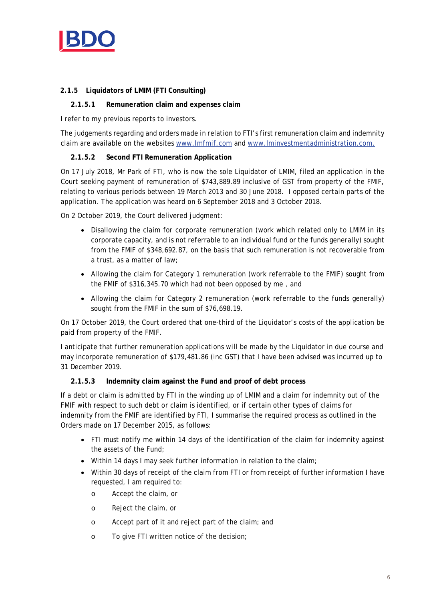

## **2.1.5 Liquidators of LMIM (FTI Consulting)**

### **2.1.5.1 Remuneration claim and expenses claim**

I refer to my previous reports to investors.

The judgements regarding and orders made in relation to FTI's first remuneration claim and indemnity claim are available on the websites [www.lmfmif.com](http://www.lmfmif.com/) and [www.lminvestmentadministration.com.](http://www.lminvestmentadministration.com/)

### **2.1.5.2 Second FTI Remuneration Application**

On 17 July 2018, Mr Park of FTI, who is now the sole Liquidator of LMIM, filed an application in the Court seeking payment of remuneration of \$743,889.89 inclusive of GST from property of the FMIF, relating to various periods between 19 March 2013 and 30 June 2018. I opposed certain parts of the application. The application was heard on 6 September 2018 and 3 October 2018.

On 2 October 2019, the Court delivered judgment:

- Disallowing the claim for corporate remuneration (work which related only to LMIM in its corporate capacity, and is not referrable to an individual fund or the funds generally) sought from the FMIF of \$348,692.87, on the basis that such remuneration is not recoverable from a trust, as a matter of law;
- Allowing the claim for Category 1 remuneration (work referrable to the FMIF) sought from the FMIF of \$316,345.70 which had not been opposed by me , and
- Allowing the claim for Category 2 remuneration (work referrable to the funds generally) sought from the FMIF in the sum of \$76,698.19.

On 17 October 2019, the Court ordered that one-third of the Liquidator's costs of the application be paid from property of the FMIF.

I anticipate that further remuneration applications will be made by the Liquidator in due course and may incorporate remuneration of \$179,481.86 (inc GST) that I have been advised was incurred up to 31 December 2019.

#### **2.1.5.3 Indemnity claim against the Fund and proof of debt process**

If a debt or claim is admitted by FTI in the winding up of LMIM and a claim for indemnity out of the FMIF with respect to such debt or claim is identified, or if certain other types of claims for indemnity from the FMIF are identified by FTI, I summarise the required process as outlined in the Orders made on 17 December 2015, as follows:

- FTI must notify me within 14 days of the identification of the claim for indemnity against the assets of the Fund;
- Within 14 days I may seek further information in relation to the claim;
- Within 30 days of receipt of the claim from FTI or from receipt of further information I have requested, I am required to:
	- o Accept the claim, or
	- o Reject the claim, or
	- o Accept part of it and reject part of the claim; and
	- o To give FTI written notice of the decision;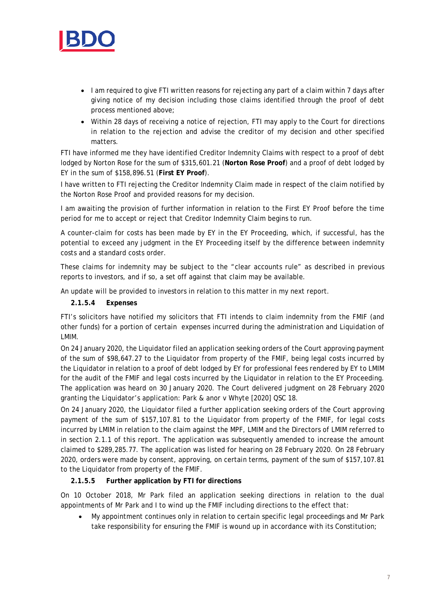

- I am required to give FTI written reasons for rejecting any part of a claim within 7 days after giving notice of my decision including those claims identified through the proof of debt process mentioned above;
- Within 28 days of receiving a notice of rejection, FTI may apply to the Court for directions in relation to the rejection and advise the creditor of my decision and other specified matters.

FTI have informed me they have identified Creditor Indemnity Claims with respect to a proof of debt lodged by Norton Rose for the sum of \$315,601.21 (**Norton Rose Proof**) and a proof of debt lodged by EY in the sum of \$158,896.51 (**First EY Proof**).

I have written to FTI rejecting the Creditor Indemnity Claim made in respect of the claim notified by the Norton Rose Proof and provided reasons for my decision.

I am awaiting the provision of further information in relation to the First EY Proof before the time period for me to accept or reject that Creditor Indemnity Claim begins to run.

A counter-claim for costs has been made by EY in the EY Proceeding, which, if successful, has the potential to exceed any judgment in the EY Proceeding itself by the difference between indemnity costs and a standard costs order.

These claims for indemnity may be subject to the "clear accounts rule" as described in previous reports to investors, and if so, a set off against that claim may be available.

An update will be provided to investors in relation to this matter in my next report.

**2.1.5.4 Expenses**

FTI's solicitors have notified my solicitors that FTI intends to claim indemnity from the FMIF (and other funds) for a portion of certain expenses incurred during the administration and Liquidation of LMIM.

On 24 January 2020, the Liquidator filed an application seeking orders of the Court approving payment of the sum of \$98,647.27 to the Liquidator from property of the FMIF, being legal costs incurred by the Liquidator in relation to a proof of debt lodged by EY for professional fees rendered by EY to LMIM for the audit of the FMIF and legal costs incurred by the Liquidator in relation to the EY Proceeding. The application was heard on 30 January 2020. The Court delivered judgment on 28 February 2020 granting the Liquidator's application: *Park & anor v Whyte* [2020] QSC 18.

On 24 January 2020, the Liquidator filed a further application seeking orders of the Court approving payment of the sum of \$157,107.81 to the Liquidator from property of the FMIF, for legal costs incurred by LMIM in relation to the claim against the MPF, LMIM and the Directors of LMIM referred to in section 2.1.1 of this report. The application was subsequently amended to increase the amount claimed to \$289,285.77. The application was listed for hearing on 28 February 2020. On 28 February 2020, orders were made by consent, approving, on certain terms, payment of the sum of \$157,107.81 to the Liquidator from property of the FMIF.

### **2.1.5.5 Further application by FTI for directions**

On 10 October 2018, Mr Park filed an application seeking directions in relation to the dual appointments of Mr Park and I to wind up the FMIF including directions to the effect that:

• My appointment continues only in relation to certain specific legal proceedings and Mr Park take responsibility for ensuring the FMIF is wound up in accordance with its Constitution;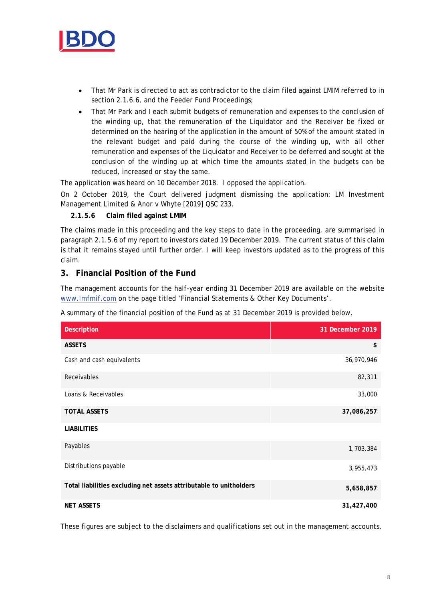

- That Mr Park is directed to act as contradictor to the claim filed against LMIM referred to in section 2.1.6.6, and the Feeder Fund Proceedings;
- That Mr Park and I each submit budgets of remuneration and expenses to the conclusion of the winding up, that the remuneration of the Liquidator and the Receiver be fixed or determined on the hearing of the application in the amount of 50% of the amount stated in the relevant budget and paid during the course of the winding up, with all other remuneration and expenses of the Liquidator and Receiver to be deferred and sought at the conclusion of the winding up at which time the amounts stated in the budgets can be reduced, increased or stay the same.

The application was heard on 10 December 2018. I opposed the application.

On 2 October 2019, the Court delivered judgment dismissing the application: *LM Investment Management Limited & Anor v Whyte* [2019] QSC 233.

### **2.1.5.6 Claim filed against LMIM**

The claims made in this proceeding and the key steps to date in the proceeding, are summarised in paragraph 2.1.5.6 of my report to investors dated 19 December 2019. The current status of this claim is that it remains stayed until further order. I will keep investors updated as to the progress of this claim.

# **3. Financial Position of the Fund**

The management accounts for the half-year ending 31 December 2019 are available on the website [www.lmfmif.com](http://www.lmfmif.com/) on the page titled 'Financial Statements & Other Key Documents'.

A summary of the financial position of the Fund as at 31 December 2019 is provided below.

| <b>Description</b>                                                 | 31 December 2019 |
|--------------------------------------------------------------------|------------------|
| <b>ASSETS</b>                                                      | \$               |
| Cash and cash equivalents                                          | 36,970,946       |
| Receivables                                                        | 82,311           |
| Loans & Receivables                                                | 33,000           |
| <b>TOTAL ASSETS</b>                                                | 37,086,257       |
| <b>LIABILITIES</b>                                                 |                  |
| Payables                                                           | 1,703,384        |
| Distributions payable                                              | 3,955,473        |
| Total liabilities excluding net assets attributable to unitholders | 5,658,857        |
| <b>NET ASSETS</b>                                                  | 31,427,400       |

These figures are subject to the disclaimers and qualifications set out in the management accounts.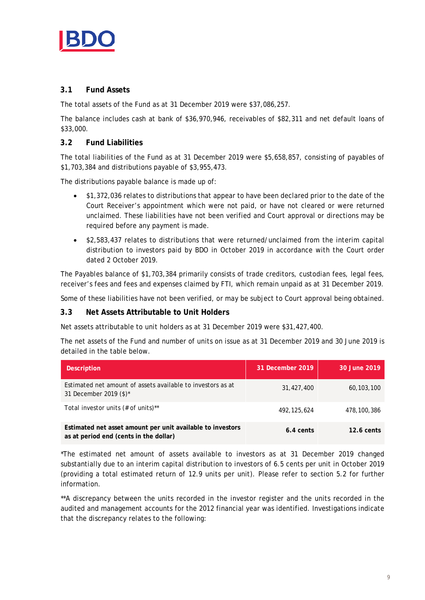

## **3.1 Fund Assets**

The total assets of the Fund as at 31 December 2019 were \$37,086,257.

The balance includes cash at bank of \$36,970,946, receivables of \$82,311 and net default loans of \$33,000.

## **3.2 Fund Liabilities**

The total liabilities of the Fund as at 31 December 2019 were \$5,658,857, consisting of payables of \$1,703,384 and distributions payable of \$3,955,473.

The distributions payable balance is made up of:

- \$1,372,036 relates to distributions that appear to have been declared prior to the date of the Court Receiver's appointment which were not paid, or have not cleared or were returned unclaimed. These liabilities have not been verified and Court approval or directions may be required before any payment is made.
- \$2,583,437 relates to distributions that were returned/unclaimed from the interim capital distribution to investors paid by BDO in October 2019 in accordance with the Court order dated 2 October 2019.

The Payables balance of \$1,703,384 primarily consists of trade creditors, custodian fees, legal fees, receiver's fees and fees and expenses claimed by FTI, which remain unpaid as at 31 December 2019.

Some of these liabilities have not been verified, or may be subject to Court approval being obtained.

### **3.3 Net Assets Attributable to Unit Holders**

Net assets attributable to unit holders as at 31 December 2019 were \$31,427,400.

The net assets of the Fund and number of units on issue as at 31 December 2019 and 30 June 2019 is detailed in the table below.

| <b>Description</b>                                                                                   | 31 December 2019 | 30 June 2019 |
|------------------------------------------------------------------------------------------------------|------------------|--------------|
| Estimated net amount of assets available to investors as at<br>31 December 2019 (\$)*                | 31,427,400       | 60, 103, 100 |
| Total investor units $(\# \text{ of units})^{**}$                                                    | 492, 125, 624    | 478,100,386  |
| Estimated net asset amount per unit available to investors<br>as at period end (cents in the dollar) | 6.4 cents        | $12.6$ cents |

\*The estimated net amount of assets available to investors as at 31 December 2019 changed substantially due to an interim capital distribution to investors of 6.5 cents per unit in October 2019 (providing a total estimated return of 12.9 units per unit). Please refer to section 5.2 for further information.

\*\*A discrepancy between the units recorded in the investor register and the units recorded in the audited and management accounts for the 2012 financial year was identified. Investigations indicate that the discrepancy relates to the following: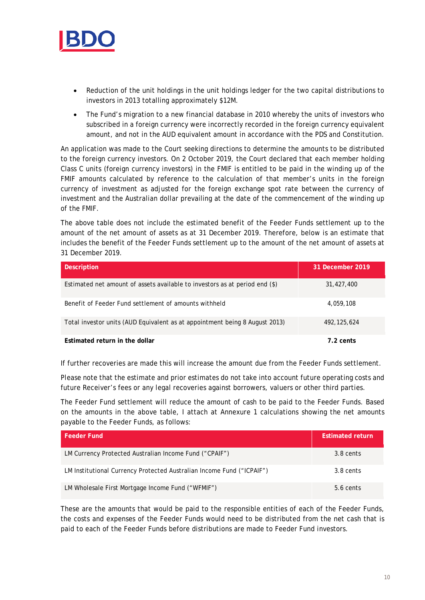

- Reduction of the unit holdings in the unit holdings ledger for the two capital distributions to investors in 2013 totalling approximately \$12M.
- The Fund's migration to a new financial database in 2010 whereby the units of investors who subscribed in a foreign currency were incorrectly recorded in the foreign currency equivalent amount, and not in the AUD equivalent amount in accordance with the PDS and Constitution.

An application was made to the Court seeking directions to determine the amounts to be distributed to the foreign currency investors. On 2 October 2019, the Court declared that each member holding Class C units (foreign currency investors) in the FMIF is entitled to be paid in the winding up of the FMIF amounts calculated by reference to the calculation of that member's units in the foreign currency of investment as adjusted for the foreign exchange spot rate between the currency of investment and the Australian dollar prevailing at the date of the commencement of the winding up of the FMIF.

The above table does not include the estimated benefit of the Feeder Funds settlement up to the amount of the net amount of assets as at 31 December 2019. Therefore, below is an estimate that includes the benefit of the Feeder Funds settlement up to the amount of the net amount of assets at 31 December 2019.

| <b>Description</b>                                                          | 31 December 2019 |
|-----------------------------------------------------------------------------|------------------|
| Estimated net amount of assets available to investors as at period end (\$) | 31,427,400       |
| Benefit of Feeder Fund settlement of amounts withheld                       | 4,059,108        |
| Total investor units (AUD Equivalent as at appointment being 8 August 2013) | 492, 125, 624    |
| Estimated return in the dollar                                              | 7.2 cents        |

If further recoveries are made this will increase the amount due from the Feeder Funds settlement.

Please note that the estimate and prior estimates do not take into account future operating costs and future Receiver's fees or any legal recoveries against borrowers, valuers or other third parties.

The Feeder Fund settlement will reduce the amount of cash to be paid to the Feeder Funds. Based on the amounts in the above table, I attach at Annexure 1 calculations showing the net amounts payable to the Feeder Funds, as follows:

| <b>Feeder Fund</b>                                                    | <b>Estimated return</b> |
|-----------------------------------------------------------------------|-------------------------|
| LM Currency Protected Australian Income Fund ("CPAIF")                | 3.8 cents               |
| LM Institutional Currency Protected Australian Income Fund ("ICPAIF") | 3.8 cents               |
| LM Wholesale First Mortgage Income Fund ("WFMIF")                     | $5.6 \text{ cents}$     |

These are the amounts that would be paid to the responsible entities of each of the Feeder Funds, the costs and expenses of the Feeder Funds would need to be distributed from the net cash that is paid to each of the Feeder Funds before distributions are made to Feeder Fund investors.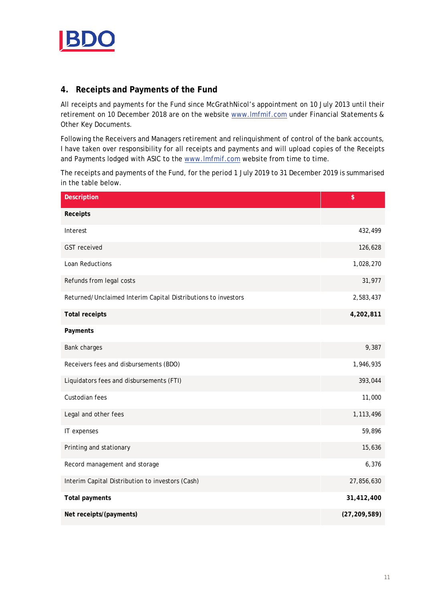

# **4. Receipts and Payments of the Fund**

All receipts and payments for the Fund since McGrathNicol's appointment on 10 July 2013 until their retirement on 10 December 2018 are on the website [www.lmfmif.com](http://www.lmfmif.com/) under Financial Statements & Other Key Documents.

Following the Receivers and Managers retirement and relinquishment of control of the bank accounts, I have taken over responsibility for all receipts and payments and will upload copies of the Receipts and Payments lodged with ASIC to the [www.lmfmif.com](http://www.lmfmif.com/) website from time to time.

The receipts and payments of the Fund, for the period 1 July 2019 to 31 December 2019 is summarised in the table below.

| <b>Description</b>                                            | \$             |
|---------------------------------------------------------------|----------------|
| Receipts                                                      |                |
| Interest                                                      | 432,499        |
| <b>GST</b> received                                           | 126,628        |
| Loan Reductions                                               | 1,028,270      |
| Refunds from legal costs                                      | 31,977         |
| Returned/Unclaimed Interim Capital Distributions to investors | 2,583,437      |
| <b>Total receipts</b>                                         | 4,202,811      |
| Payments                                                      |                |
| Bank charges                                                  | 9,387          |
| Receivers fees and disbursements (BDO)                        | 1,946,935      |
| Liquidators fees and disbursements (FTI)                      | 393,044        |
| Custodian fees                                                | 11,000         |
| Legal and other fees                                          | 1,113,496      |
| IT expenses                                                   | 59,896         |
| Printing and stationary                                       | 15,636         |
| Record management and storage                                 | 6,376          |
| Interim Capital Distribution to investors (Cash)              | 27,856,630     |
| <b>Total payments</b>                                         | 31,412,400     |
| Net receipts/(payments)                                       | (27, 209, 589) |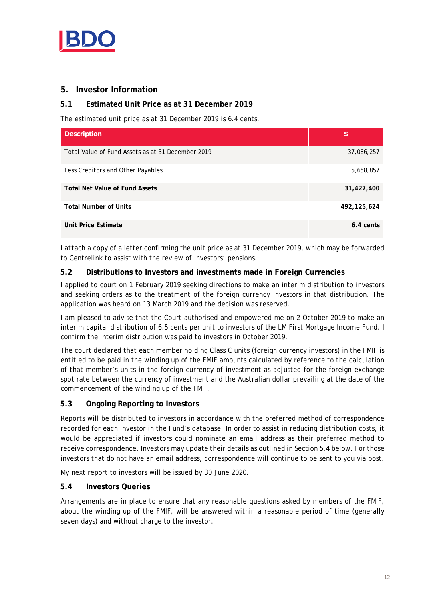

# **5. Investor Information**

## **5.1 Estimated Unit Price as at 31 December 2019**

The estimated unit price as at 31 December 2019 is 6.4 cents.

| <b>Description</b>                                | \$            |
|---------------------------------------------------|---------------|
| Total Value of Fund Assets as at 31 December 2019 | 37,086,257    |
| Less Creditors and Other Payables                 | 5,658,857     |
| <b>Total Net Value of Fund Assets</b>             | 31,427,400    |
| <b>Total Number of Units</b>                      | 492, 125, 624 |
| Unit Price Estimate                               | 6.4 cents     |

I *attach* a copy of a letter confirming the unit price as at 31 December 2019, which may be forwarded to Centrelink to assist with the review of investors' pensions.

### **5.2 Distributions to Investors and investments made in Foreign Currencies**

I applied to court on 1 February 2019 seeking directions to make an interim distribution to investors and seeking orders as to the treatment of the foreign currency investors in that distribution. The application was heard on 13 March 2019 and the decision was reserved.

I am pleased to advise that the Court authorised and empowered me on 2 October 2019 to make an interim capital distribution of 6.5 cents per unit to investors of the LM First Mortgage Income Fund. I confirm the interim distribution was paid to investors in October 2019.

The court declared that each member holding Class C units (foreign currency investors) in the FMIF is entitled to be paid in the winding up of the FMIF amounts calculated by reference to the calculation of that member's units in the foreign currency of investment as adjusted for the foreign exchange spot rate between the currency of investment and the Australian dollar prevailing at the date of the commencement of the winding up of the FMIF.

### **5.3 Ongoing Reporting to Investors**

Reports will be distributed to investors in accordance with the preferred method of correspondence recorded for each investor in the Fund's database. In order to assist in reducing distribution costs, it would be appreciated if investors could nominate an email address as their preferred method to receive correspondence. Investors may update their details as outlined in Section 5.4 below. For those investors that do not have an email address, correspondence will continue to be sent to you via post.

My next report to investors will be issued by 30 June 2020.

### **5.4 Investors Queries**

Arrangements are in place to ensure that any reasonable questions asked by members of the FMIF, about the winding up of the FMIF, will be answered within a reasonable period of time (generally seven days) and without charge to the investor.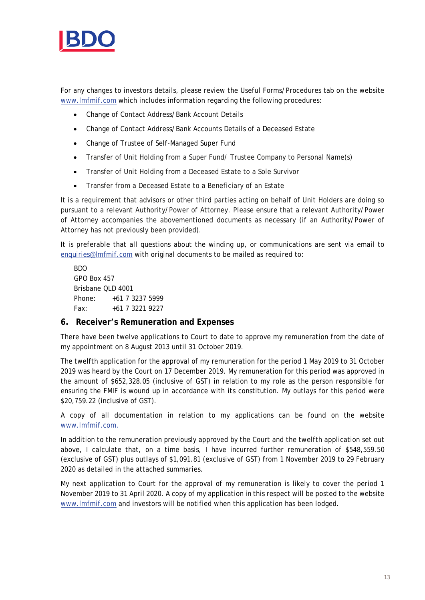

For any changes to investors details, please review the Useful Forms/Procedures tab on the website [www.lmfmif.com](http://www.lmfmif.com/) which includes information regarding the following procedures:

- Change of Contact Address/Bank Account Details
- Change of Contact Address/Bank Accounts Details of a Deceased Estate
- Change of Trustee of Self-Managed Super Fund
- Transfer of Unit Holding from a Super Fund/ Trustee Company to Personal Name(s)
- Transfer of Unit Holding from a Deceased Estate to a Sole Survivor
- Transfer from a Deceased Estate to a Beneficiary of an Estate

It is a requirement that advisors or other third parties acting on behalf of Unit Holders are doing so pursuant to a relevant Authority/Power of Attorney. Please ensure that a relevant Authority/Power of Attorney accompanies the abovementioned documents as necessary (if an Authority/Power of Attorney has not previously been provided).

It is preferable that all questions about the winding up, or communications are sent via email to [enquiries@lmfmif.com](mailto:enquiries@lmfmif.com) with original documents to be mailed as required to:

BDO GPO Box 457 Brisbane QLD 4001 Phone: +61 7 3237 5999 Fax: +61 7 3221 9227

### **6. Receiver's Remuneration and Expenses**

There have been twelve applications to Court to date to approve my remuneration from the date of my appointment on 8 August 2013 until 31 October 2019.

The twelfth application for the approval of my remuneration for the period 1 May 2019 to 31 October 2019 was heard by the Court on 17 December 2019. My remuneration for this period was approved in the amount of \$652,328.05 (inclusive of GST) in relation to my role as the person responsible for ensuring the FMIF is wound up in accordance with its constitution. My outlays for this period were \$20,759.22 (inclusive of GST).

A copy of all documentation in relation to my applications can be found on the website [www.lmfmif.com.](http://www.lmfmif.com/)

In addition to the remuneration previously approved by the Court and the twelfth application set out above, I calculate that, on a time basis, I have incurred further remuneration of \$548,559.50 (exclusive of GST) plus outlays of \$1,091.81 (exclusive of GST) from 1 November 2019 to 29 February 2020 as detailed in the attached summaries.

My next application to Court for the approval of my remuneration is likely to cover the period 1 November 2019 to 31 April 2020. A copy of my application in this respect will be posted to the website [www.lmfmif.com](http://www.lmfmif.com/) and investors will be notified when this application has been lodged.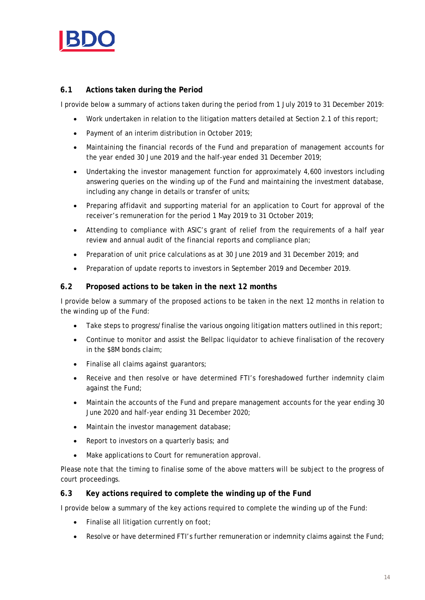

# **6.1 Actions taken during the Period**

I provide below a summary of actions taken during the period from 1 July 2019 to 31 December 2019:

- Work undertaken in relation to the litigation matters detailed at Section 2.1 of this report;
- Payment of an interim distribution in October 2019;
- Maintaining the financial records of the Fund and preparation of management accounts for the year ended 30 June 2019 and the half-year ended 31 December 2019;
- Undertaking the investor management function for approximately 4,600 investors including answering queries on the winding up of the Fund and maintaining the investment database, including any change in details or transfer of units;
- Preparing affidavit and supporting material for an application to Court for approval of the receiver's remuneration for the period 1 May 2019 to 31 October 2019;
- Attending to compliance with ASIC's grant of relief from the requirements of a half year review and annual audit of the financial reports and compliance plan;
- Preparation of unit price calculations as at 30 June 2019 and 31 December 2019; and
- Preparation of update reports to investors in September 2019 and December 2019.

### **6.2 Proposed actions to be taken in the next 12 months**

I provide below a summary of the proposed actions to be taken in the next 12 months in relation to the winding up of the Fund:

- Take steps to progress/finalise the various ongoing litigation matters outlined in this report;
- Continue to monitor and assist the Bellpac liquidator to achieve finalisation of the recovery in the \$8M bonds claim;
- Finalise all claims against guarantors;
- Receive and then resolve or have determined FTI's foreshadowed further indemnity claim against the Fund;
- Maintain the accounts of the Fund and prepare management accounts for the year ending 30 June 2020 and half-year ending 31 December 2020;
- Maintain the investor management database;
- Report to investors on a quarterly basis; and
- Make applications to Court for remuneration approval.

Please note that the timing to finalise some of the above matters will be subject to the progress of court proceedings.

### **6.3 Key actions required to complete the winding up of the Fund**

I provide below a summary of the key actions required to complete the winding up of the Fund:

- Finalise all litigation currently on foot;
- Resolve or have determined FTI's further remuneration or indemnity claims against the Fund;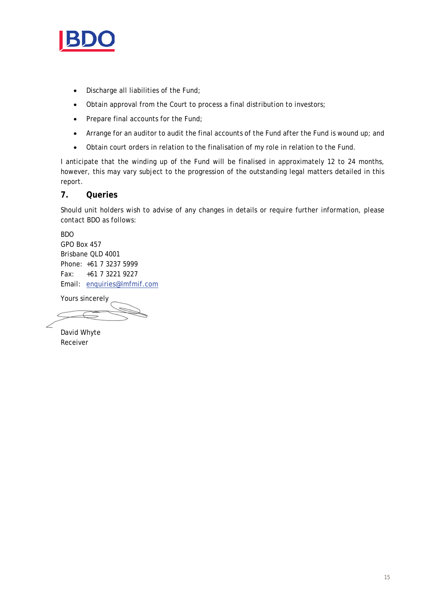

- Discharge all liabilities of the Fund;
- Obtain approval from the Court to process a final distribution to investors;
- Prepare final accounts for the Fund;
- Arrange for an auditor to audit the final accounts of the Fund after the Fund is wound up; and
- Obtain court orders in relation to the finalisation of my role in relation to the Fund.

I anticipate that the winding up of the Fund will be finalised in approximately 12 to 24 months, however, this may vary subject to the progression of the outstanding legal matters detailed in this report.

## **7. Queries**

Should unit holders wish to advise of any changes in details or require further information, please contact BDO as follows:

BDO GPO Box 457 Brisbane QLD 4001 Phone: +61 7 3237 5999 Fax: +61 7 3221 9227 Email: [enquiries@lmfmif.com](mailto:enquiries@lmfmif.com)

Yours sincerely

David Whyte Receiver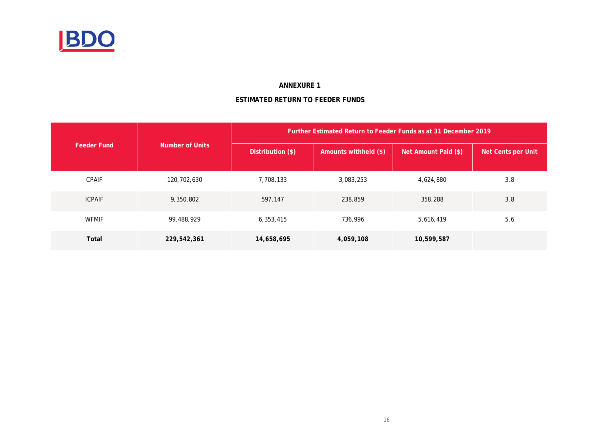

### **ANNEXURE 1**

# **ESTIMATED RETURN TO FEEDER FUNDS**

|                    |                 | Further Estimated Return to Feeder Funds as at 31 December 2019 |                       |                      |                    |  |  |  |
|--------------------|-----------------|-----------------------------------------------------------------|-----------------------|----------------------|--------------------|--|--|--|
| <b>Feeder Fund</b> | Number of Units |                                                                 | Amounts withheld (\$) | Net Amount Paid (\$) | Net Cents per Unit |  |  |  |
| <b>CPAIF</b>       | 120,702,630     | 7,708,133                                                       | 3,083,253             | 4,624,880            | 3.8                |  |  |  |
| <b>ICPAIF</b>      | 9,350,802       | 597,147                                                         | 238,859               | 358,288              | 3.8                |  |  |  |
| <b>WFMIF</b>       | 99,488,929      | 6,353,415                                                       | 736,996               | 5,616,419            | 5.6                |  |  |  |
| Total              | 229,542,361     | 14,658,695                                                      | 4,059,108             | 10,599,587           |                    |  |  |  |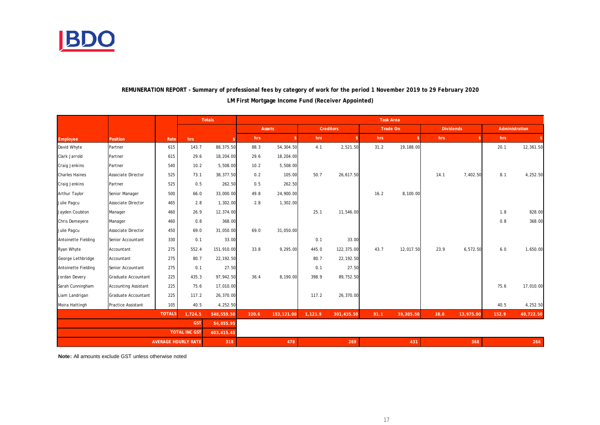

|                                    |                             |               |                            | <b>Totals</b> | <b>Task Area</b> |            |         |                  |      |                 |                  |           |       |                |
|------------------------------------|-----------------------------|---------------|----------------------------|---------------|------------------|------------|---------|------------------|------|-----------------|------------------|-----------|-------|----------------|
|                                    |                             |               |                            |               |                  | Assets     |         | <b>Creditors</b> |      | <b>Trade On</b> | <b>Dividends</b> |           |       | Administration |
| Employee                           | Position                    | Rate          | hrs                        |               | hrs              |            | hrs     | -\$              | hrs  | \$              | hrs              |           | hrs   |                |
| David Whyte                        | Partner                     | 615           | 143.7                      | 88,375.50     | 88.3             | 54,304.50  | 4.1     | 2,521.50         | 31.2 | 19,188.00       |                  |           | 20.1  | 12,361.50      |
| Clark Jarrold                      | Partner                     | 615           | 29.6                       | 18,204.00     | 29.6             | 18,204.00  |         |                  |      |                 |                  |           |       |                |
| Craig Jenkins                      | Partner                     | 540           | 10.2                       | 5,508.00      | 10.2             | 5,508.00   |         |                  |      |                 |                  |           |       |                |
| <b>Charles Haines</b>              | Associate Director          | 525           | 73.1                       | 38,377.50     | 0.2              | 105.00     | 50.7    | 26,617.50        |      |                 | 14.1             | 7,402.50  | 8.1   | 4,252.50       |
| Craig Jenkins                      | Partner                     | 525           | 0.5                        | 262.50        | 0.5              | 262.50     |         |                  |      |                 |                  |           |       |                |
| Arthur Taylor                      | Senior Manager              | 500           | 66.0                       | 33,000.00     | 49.8             | 24,900.00  |         |                  | 16.2 | 8,100.00        |                  |           |       |                |
| Julie Pagcu                        | <b>Associate Director</b>   | 465           | 2.8                        | 1,302.00      | 2.8              | 1,302.00   |         |                  |      |                 |                  |           |       |                |
| Jayden Coulston                    | Manager                     | 460           | 26.9                       | 12,374.00     |                  |            | 25.1    | 11,546.00        |      |                 |                  |           | 1.8   | 828.00         |
| Chris Demeyere                     | Manager                     | 460           | 0.8                        | 368.00        |                  |            |         |                  |      |                 |                  |           | 0.8   | 368.00         |
| Julie Pagcu                        | Associate Director          | 450           | 69.0                       | 31,050.00     | 69.0             | 31,050.00  |         |                  |      |                 |                  |           |       |                |
| Antoinette Fielding                | Senior Accountant           | 330           | 0.1                        | 33.00         |                  |            | 0.1     | 33.00            |      |                 |                  |           |       |                |
| Ryan Whyte                         | Accountant                  | 275           | 552.4                      | 151,910.00    | 33.8             | 9,295.00   | 445.0   | 122,375.00       | 43.7 | 12,017.50       | 23.9             | 6,572.50  | 6.0   | 1,650.00       |
| George Lethbridge                  | Accountant                  | 275           | 80.7                       | 22,192.50     |                  |            | 80.7    | 22,192.50        |      |                 |                  |           |       |                |
| Antoinette Fielding                | Senior Accountant           | 275           | 0.1                        | 27.50         |                  |            | 0.1     | 27.50            |      |                 |                  |           |       |                |
| Jordan Devery                      | Graduate Accountant         | 225           | 435.3                      | 97,942.50     | 36.4             | 8,190.00   | 398.9   | 89,752.50        |      |                 |                  |           |       |                |
| Sarah Cunningham                   | <b>Accounting Assistant</b> | 225           | 75.6                       | 17,010.00     |                  |            |         |                  |      |                 |                  |           | 75.6  | 17,010.00      |
| Liam Landrigan                     | Graduate Accountant         | 225           | 117.2                      | 26,370.00     |                  |            | 117.2   | 26,370.00        |      |                 |                  |           |       |                |
| Moira Hattingh                     | <b>Practice Assistant</b>   | 105           | 40.5                       | 4,252.50      |                  |            |         |                  |      |                 |                  |           | 40.5  | 4,252.50       |
|                                    |                             | <b>TOTALS</b> | 1,724.5                    | 548,559.50    | 320.6            | 153,121.00 | 1,121.9 | 301,435.50       | 91.1 | 39,305.50       | 38.0             | 13,975.00 | 152.9 | 40,722.50      |
|                                    | <b>GST</b>                  |               |                            | 54,855.95     |                  |            |         |                  |      |                 |                  |           |       |                |
| <b>TOTAL INC GST</b><br>603,415.45 |                             |               |                            |               |                  |            |         |                  |      |                 |                  |           |       |                |
|                                    |                             |               | <b>AVERAGE HOURLY RATE</b> | 318           |                  | 478        |         | 269              |      | 431             |                  | 368       |       | 266            |

## **REMUNERATION REPORT - Summary of professional fees by category of work for the period 1 November 2019 to 29 February 2020 LM First Mortgage Income Fund (Receiver Appointed)**

**Note:** All amounts exclude GST unless otherwise noted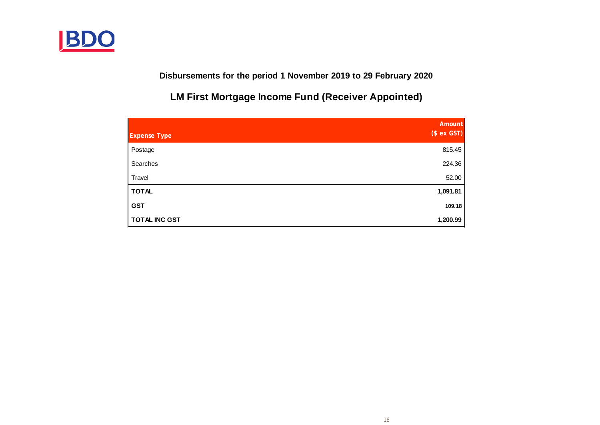

**Disbursements for the period 1 November 2019 to 29 February 2020**

**LM First Mortgage Income Fund (Receiver Appointed)**

| <b>Expense Type</b>  | <b>Amount</b><br>(\$ ex GST) |
|----------------------|------------------------------|
| Postage              | 815.45                       |
| Searches             | 224.36                       |
| Travel               | 52.00                        |
| <b>TOTAL</b>         | 1,091.81                     |
| <b>GST</b>           | 109.18                       |
| <b>TOTAL INC GST</b> | 1,200.99                     |